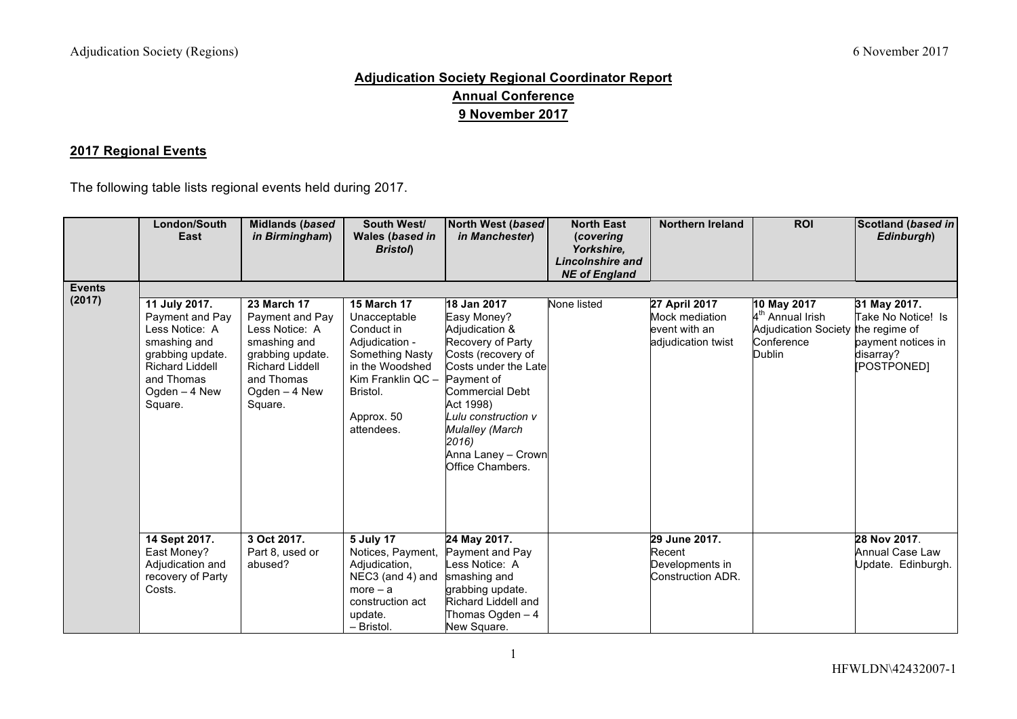## **Adjudication Society Regional Coordinator Report Annual Conference 9 November 2017**

## **2017 Regional Events**

The following table lists regional events held during 2017.

|                         | London/South<br>East                                                                                                                                       | <b>Midlands (based</b><br>in Birmingham)                                                                                                                        | South West/<br>Wales (based in<br><b>Bristol</b> )                                                                                                                    | North West (based<br>in Manchester)                                                                                                                                                                                                                               | <b>North East</b><br>(covering<br>Yorkshire,<br>Lincolnshire and<br><b>NE of England</b> | <b>Northern Ireland</b>                                                | <b>ROI</b>                                                                                                | Scotland (based in<br>Edinburgh)                                                     |
|-------------------------|------------------------------------------------------------------------------------------------------------------------------------------------------------|-----------------------------------------------------------------------------------------------------------------------------------------------------------------|-----------------------------------------------------------------------------------------------------------------------------------------------------------------------|-------------------------------------------------------------------------------------------------------------------------------------------------------------------------------------------------------------------------------------------------------------------|------------------------------------------------------------------------------------------|------------------------------------------------------------------------|-----------------------------------------------------------------------------------------------------------|--------------------------------------------------------------------------------------|
| <b>Events</b><br>(2017) | 11 July 2017.<br>Payment and Pay<br>Less Notice: A<br>smashing and<br>grabbing update.<br><b>Richard Liddell</b><br>and Thomas<br>Ogden - 4 New<br>Square. | <b>23 March 17</b><br>Payment and Pay<br>Less Notice: A<br>smashing and<br>grabbing update.<br><b>Richard Liddell</b><br>and Thomas<br>Ogden - 4 New<br>Square. | <b>15 March 17</b><br>Unacceptable<br>Conduct in<br>Adjudication -<br>Something Nasty<br>in the Woodshed<br>Kim Franklin QC -<br>Bristol.<br>Approx. 50<br>attendees. | 18 Jan 2017<br>Easy Money?<br>Adjudication &<br>Recovery of Party<br>Costs (recovery of<br>Costs under the Late<br>Payment of<br>Commercial Debt<br>Act 1998)<br>Lulu construction v<br><b>Mulalley (March</b><br>2016)<br>Anna Laney - Crown<br>Office Chambers. | None listed                                                                              | 27 April 2017<br>Mock mediation<br>event with an<br>adjudication twist | 10 May 2017<br>4 <sup>th</sup> Annual Irish<br>Adjudication Society the regime of<br>Conference<br>Dublin | 31 May 2017.<br>Take No Notice! Is<br>payment notices in<br>disarray?<br>[POSTPONED] |
|                         | 14 Sept 2017.<br>East Money?<br>Adjudication and<br>recovery of Party<br>Costs.                                                                            | 3 Oct 2017.<br>Part 8, used or<br>abused?                                                                                                                       | 5 July 17<br>Notices, Payment,<br>Adjudication,<br>NEC3 (and 4) and<br>$more - a$<br>construction act<br>update.<br>- Bristol.                                        | 24 May 2017.<br>Payment and Pay<br>Less Notice: A<br>smashing and<br>grabbing update.<br>Richard Liddell and<br>Thomas Ogden - 4<br>New Square.                                                                                                                   |                                                                                          | 29 June 2017.<br>Recent<br>Developments in<br>Construction ADR.        |                                                                                                           | 28 Nov 2017.<br>Annual Case Law<br>Update. Edinburgh.                                |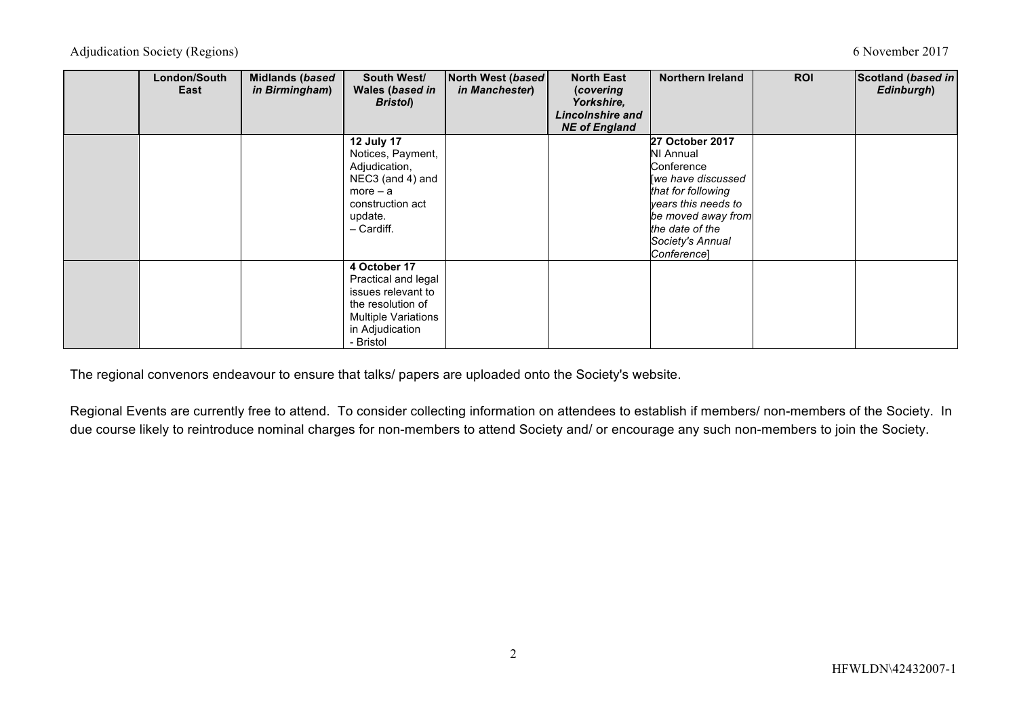Adjudication Society (Regions) 6 November 2017

| London/South<br>East | Midlands (based<br>in Birmingham) | South West/<br>Wales (based in<br><b>Bristol</b> )                                                                                           | North West (based<br>in Manchester) | <b>North East</b><br>(covering<br>Yorkshire,<br>Lincolnshire and<br><b>NE of England</b> | <b>Northern Ireland</b>                                                                                                                                                                         | <b>ROI</b> | Scotland (based in<br>Edinburgh) |
|----------------------|-----------------------------------|----------------------------------------------------------------------------------------------------------------------------------------------|-------------------------------------|------------------------------------------------------------------------------------------|-------------------------------------------------------------------------------------------------------------------------------------------------------------------------------------------------|------------|----------------------------------|
|                      |                                   | <b>12 July 17</b><br>Notices, Payment,<br>Adjudication,<br>NEC3 (and 4) and<br>$more - a$<br>construction act<br>update.<br>- Cardiff.       |                                     |                                                                                          | 27 October 2017<br><b>NI Annual</b><br>Conference<br>we have discussed<br>that for following<br>years this needs to<br>be moved away from<br>the date of the<br>Society's Annual<br>Conference] |            |                                  |
|                      |                                   | 4 October 17<br>Practical and legal<br>issues relevant to<br>the resolution of<br><b>Multiple Variations</b><br>in Adjudication<br>- Bristol |                                     |                                                                                          |                                                                                                                                                                                                 |            |                                  |

The regional convenors endeavour to ensure that talks/ papers are uploaded onto the Society's website.

Regional Events are currently free to attend. To consider collecting information on attendees to establish if members/ non-members of the Society. In due course likely to reintroduce nominal charges for non-members to attend Society and/ or encourage any such non-members to join the Society.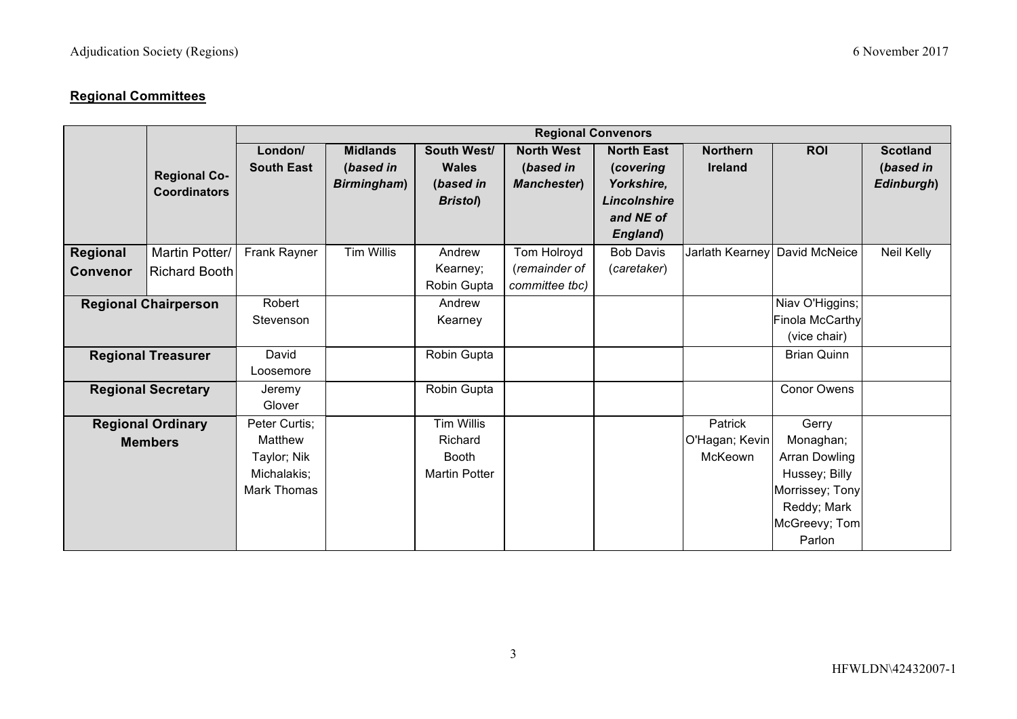## **Regional Committees**

|                                            |                                            | <b>Regional Convenors</b>                                             |                                             |                                                                      |                                                       |                                                              |                                      |                                                                                                                          |                                            |
|--------------------------------------------|--------------------------------------------|-----------------------------------------------------------------------|---------------------------------------------|----------------------------------------------------------------------|-------------------------------------------------------|--------------------------------------------------------------|--------------------------------------|--------------------------------------------------------------------------------------------------------------------------|--------------------------------------------|
|                                            | <b>Regional Co-</b><br><b>Coordinators</b> | London/<br><b>South East</b>                                          | <b>Midlands</b><br>(based in<br>Birmingham) | South West/<br><b>Wales</b><br>(based in<br><b>Bristol</b> )         | <b>North West</b><br>(based in<br><b>Manchester</b> ) | <b>North East</b><br>(covering<br>Yorkshire,<br>Lincolnshire | <b>Northern</b><br><b>Ireland</b>    | <b>ROI</b>                                                                                                               | <b>Scotland</b><br>(based in<br>Edinburgh) |
|                                            |                                            |                                                                       |                                             |                                                                      |                                                       | and NE of<br>England)                                        |                                      |                                                                                                                          |                                            |
| Regional<br><b>Convenor</b>                | Martin Potter/<br><b>Richard Booth</b>     | Frank Rayner                                                          | <b>Tim Willis</b>                           | Andrew<br>Kearney;<br>Robin Gupta                                    | Tom Holroyd<br>(remainder of<br>committee tbc)        | <b>Bob Davis</b><br>(caretaker)                              | Jarlath Kearney                      | David McNeice                                                                                                            | Neil Kelly                                 |
| <b>Regional Chairperson</b>                |                                            | Robert<br>Stevenson                                                   |                                             | Andrew<br>Kearney                                                    |                                                       |                                                              |                                      | Niav O'Higgins;<br>Finola McCarthy<br>(vice chair)                                                                       |                                            |
| <b>Regional Treasurer</b>                  |                                            | David<br>Loosemore                                                    |                                             | Robin Gupta                                                          |                                                       |                                                              |                                      | <b>Brian Quinn</b>                                                                                                       |                                            |
| <b>Regional Secretary</b>                  |                                            | Jeremy<br>Glover                                                      |                                             | Robin Gupta                                                          |                                                       |                                                              |                                      | <b>Conor Owens</b>                                                                                                       |                                            |
| <b>Regional Ordinary</b><br><b>Members</b> |                                            | Peter Curtis;<br>Matthew<br>Taylor; Nik<br>Michalakis;<br>Mark Thomas |                                             | <b>Tim Willis</b><br>Richard<br><b>Booth</b><br><b>Martin Potter</b> |                                                       |                                                              | Patrick<br>O'Hagan; Kevin<br>McKeown | Gerry<br>Monaghan;<br><b>Arran Dowling</b><br>Hussey; Billy<br>Morrissey; Tony<br>Reddy; Mark<br>McGreevy; Tom<br>Parlon |                                            |